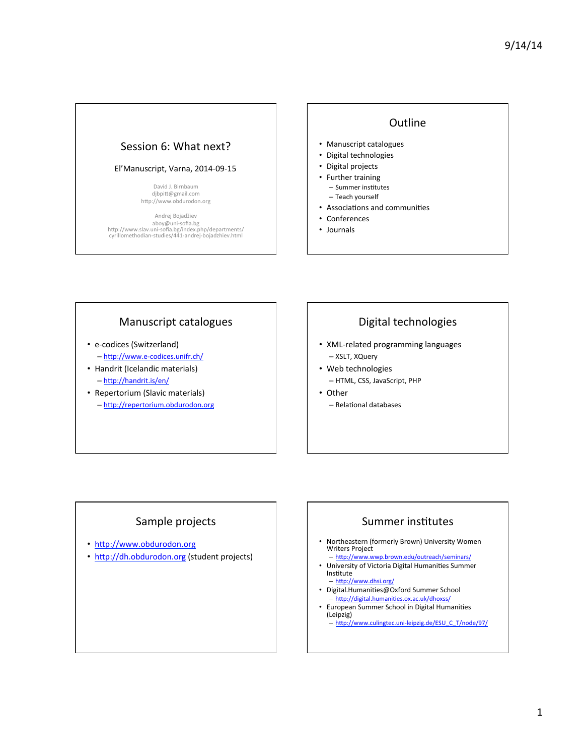## Session 6: What next?

#### El'Manuscript, Varna, 2014-09-15

David J. Birnbaum djbpitt@gmail.com http://www.obdurodon.org

Andrej Bojadžiev aboy@uni-sofia.bg<br>http://www.slav.uni-sofia.bg/index.php/departments/ cyrillomethodian-studies/441-andrej-bojadzhiev.html 

### **Outline**

- Manuscript catalogues
- Digital technologies
- Digital projects
- Further training
	- Summer institutes
	- Teach yourself
- Associations and communities
- Conferences
- Journals

#### Manuscript catalogues

- e-codices (Switzerland) - http://www.e-codices.unifr.ch/
- Handrit (Icelandic materials)  $-$  http://handrit.is/en/
- Repertorium (Slavic materials) - http://repertorium.obdurodon.org

# Digital technologies

- XML-related programming languages – XSLT, XQuery
- Web technologies  $-$  HTML, CSS, JavaScript, PHP
- Other - Relational databases

# Sample projects

- http://www.obdurodon.org
- http://dh.obdurodon.org (student projects)

### Summer institutes

- Northeastern (formerly Brown) University Women Writers Project
- http://www.wwp.brown.edu/outreach/seminars/ University of Victoria Digital Humanities Summer
- Institute - http://www.dhsi.org/
- Digital.Humanities@Oxford Summer School - http://digital.humanities.ox.ac.uk/dhoxss/
- European Summer School in Digital Humanities (Leipzig)
	- http://www.culingtec.uni-leipzig.de/ESU\_C\_T/node/97/